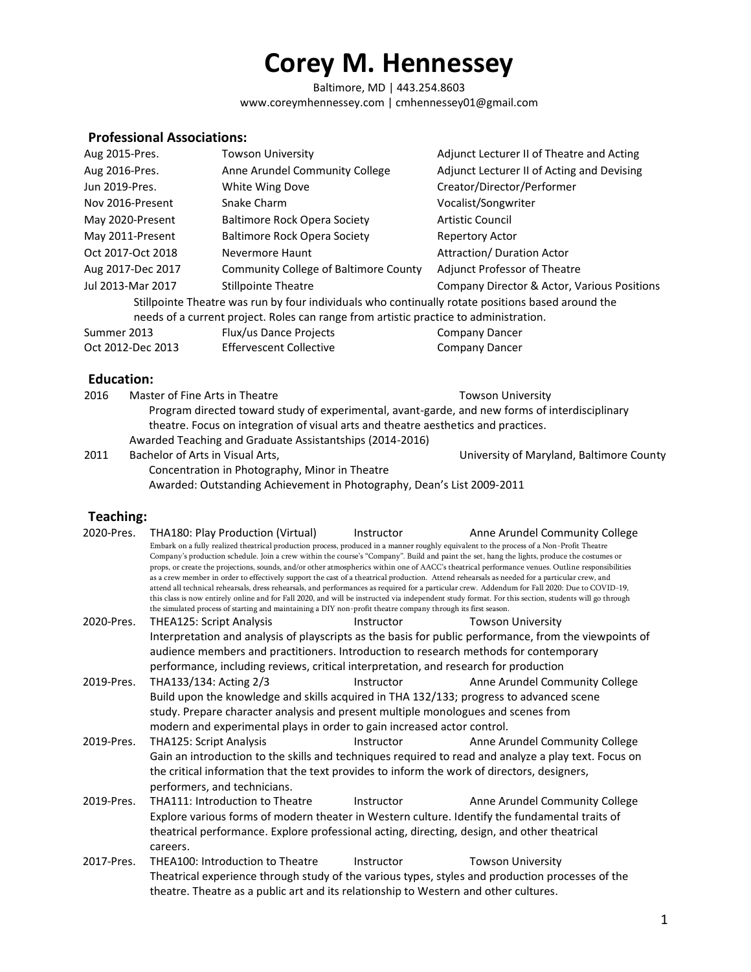Baltimore, MD | 443.254.8603 www.coreymhennessey.com | cmhennessey01@gmail.com

### **Professional Associations:**

| Aug 2015-Pres.    | <b>Towson University</b>                                                                                                                                                                   | Adjunct Lecturer II of Theatre and Acting   |
|-------------------|--------------------------------------------------------------------------------------------------------------------------------------------------------------------------------------------|---------------------------------------------|
| Aug 2016-Pres.    | Anne Arundel Community College                                                                                                                                                             | Adjunct Lecturer II of Acting and Devising  |
| Jun 2019-Pres.    | White Wing Dove                                                                                                                                                                            | Creator/Director/Performer                  |
| Nov 2016-Present  | Snake Charm                                                                                                                                                                                | Vocalist/Songwriter                         |
| May 2020-Present  | <b>Baltimore Rock Opera Society</b>                                                                                                                                                        | <b>Artistic Council</b>                     |
| May 2011-Present  | <b>Baltimore Rock Opera Society</b>                                                                                                                                                        | <b>Repertory Actor</b>                      |
| Oct 2017-Oct 2018 | Nevermore Haunt                                                                                                                                                                            | Attraction/ Duration Actor                  |
| Aug 2017-Dec 2017 | Community College of Baltimore County                                                                                                                                                      | <b>Adjunct Professor of Theatre</b>         |
| Jul 2013-Mar 2017 | <b>Stillpointe Theatre</b>                                                                                                                                                                 | Company Director & Actor, Various Positions |
|                   | Stillpointe Theatre was run by four individuals who continually rotate positions based around the<br>needs of a current project. Roles can range from artistic practice to administration. |                                             |
| Summer 2013       | Flux/us Dance Projects                                                                                                                                                                     | <b>Company Dancer</b>                       |
| Oct 2012-Dec 2013 | <b>Effervescent Collective</b>                                                                                                                                                             | Company Dancer                              |

#### **Education:**

| Master of Fine Arts in Theatre                           | <b>Towson University</b>                                                                                                                                                             |
|----------------------------------------------------------|--------------------------------------------------------------------------------------------------------------------------------------------------------------------------------------|
|                                                          |                                                                                                                                                                                      |
|                                                          |                                                                                                                                                                                      |
| Awarded Teaching and Graduate Assistantships (2014-2016) |                                                                                                                                                                                      |
| Bachelor of Arts in Visual Arts,                         | University of Maryland, Baltimore County                                                                                                                                             |
|                                                          | Program directed toward study of experimental, avant-garde, and new forms of interdisciplinary<br>theatre. Focus on integration of visual arts and theatre aesthetics and practices. |

Concentration in Photography, Minor in Theatre Awarded: Outstanding Achievement in Photography, Dean's List 2009-2011

#### **Teaching:**

| 2020-Pres. | THA180: Play Production (Virtual)<br>Embark on a fully realized theatrical production process, produced in a manner roughly equivalent to the process of a Non-Profit Theatre<br>as a crew member in order to effectively support the cast of a theatrical production. Attend rehearsals as needed for a particular crew, and<br>the simulated process of starting and maintaining a DIY non-profit theatre company through its first season. | Instructor | Anne Arundel Community College<br>Company's production schedule. Join a crew within the course's "Company". Build and paint the set, hang the lights, produce the costumes or<br>props, or create the projections, sounds, and/or other atmospherics within one of AACC's theatrical performance venues. Outline responsibilities<br>attend all technical rehearsals, dress rehearsals, and performances as required for a particular crew. Addendum for Fall 2020: Due to COVID-19,<br>this class is now entirely online and for Fall 2020, and will be instructed via independent study format. For this section, students will go through |  |
|------------|-----------------------------------------------------------------------------------------------------------------------------------------------------------------------------------------------------------------------------------------------------------------------------------------------------------------------------------------------------------------------------------------------------------------------------------------------|------------|----------------------------------------------------------------------------------------------------------------------------------------------------------------------------------------------------------------------------------------------------------------------------------------------------------------------------------------------------------------------------------------------------------------------------------------------------------------------------------------------------------------------------------------------------------------------------------------------------------------------------------------------|--|
| 2020-Pres. | <b>THEA125: Script Analysis</b>                                                                                                                                                                                                                                                                                                                                                                                                               | Instructor | <b>Towson University</b>                                                                                                                                                                                                                                                                                                                                                                                                                                                                                                                                                                                                                     |  |
|            |                                                                                                                                                                                                                                                                                                                                                                                                                                               |            | Interpretation and analysis of playscripts as the basis for public performance, from the viewpoints of                                                                                                                                                                                                                                                                                                                                                                                                                                                                                                                                       |  |
|            | audience members and practitioners. Introduction to research methods for contemporary                                                                                                                                                                                                                                                                                                                                                         |            |                                                                                                                                                                                                                                                                                                                                                                                                                                                                                                                                                                                                                                              |  |
|            | performance, including reviews, critical interpretation, and research for production                                                                                                                                                                                                                                                                                                                                                          |            |                                                                                                                                                                                                                                                                                                                                                                                                                                                                                                                                                                                                                                              |  |
| 2019-Pres. | THA133/134: Acting 2/3                                                                                                                                                                                                                                                                                                                                                                                                                        | Instructor | Anne Arundel Community College                                                                                                                                                                                                                                                                                                                                                                                                                                                                                                                                                                                                               |  |
|            | Build upon the knowledge and skills acquired in THA 132/133; progress to advanced scene<br>study. Prepare character analysis and present multiple monologues and scenes from                                                                                                                                                                                                                                                                  |            |                                                                                                                                                                                                                                                                                                                                                                                                                                                                                                                                                                                                                                              |  |
|            | modern and experimental plays in order to gain increased actor control.                                                                                                                                                                                                                                                                                                                                                                       |            |                                                                                                                                                                                                                                                                                                                                                                                                                                                                                                                                                                                                                                              |  |
| 2019-Pres. | THA125: Script Analysis                                                                                                                                                                                                                                                                                                                                                                                                                       | Instructor | Anne Arundel Community College                                                                                                                                                                                                                                                                                                                                                                                                                                                                                                                                                                                                               |  |
|            | the critical information that the text provides to inform the work of directors, designers,<br>performers, and technicians.                                                                                                                                                                                                                                                                                                                   |            | Gain an introduction to the skills and techniques required to read and analyze a play text. Focus on                                                                                                                                                                                                                                                                                                                                                                                                                                                                                                                                         |  |
| 2019-Pres. | <b>THA111: Introduction to Theatre</b>                                                                                                                                                                                                                                                                                                                                                                                                        | Instructor | Anne Arundel Community College                                                                                                                                                                                                                                                                                                                                                                                                                                                                                                                                                                                                               |  |
|            | theatrical performance. Explore professional acting, directing, design, and other theatrical<br>careers.                                                                                                                                                                                                                                                                                                                                      |            | Explore various forms of modern theater in Western culture. Identify the fundamental traits of                                                                                                                                                                                                                                                                                                                                                                                                                                                                                                                                               |  |
| 2017-Pres. | THEA100: Introduction to Theatre                                                                                                                                                                                                                                                                                                                                                                                                              | Instructor | <b>Towson University</b>                                                                                                                                                                                                                                                                                                                                                                                                                                                                                                                                                                                                                     |  |
|            | theatre. Theatre as a public art and its relationship to Western and other cultures.                                                                                                                                                                                                                                                                                                                                                          |            | Theatrical experience through study of the various types, styles and production processes of the                                                                                                                                                                                                                                                                                                                                                                                                                                                                                                                                             |  |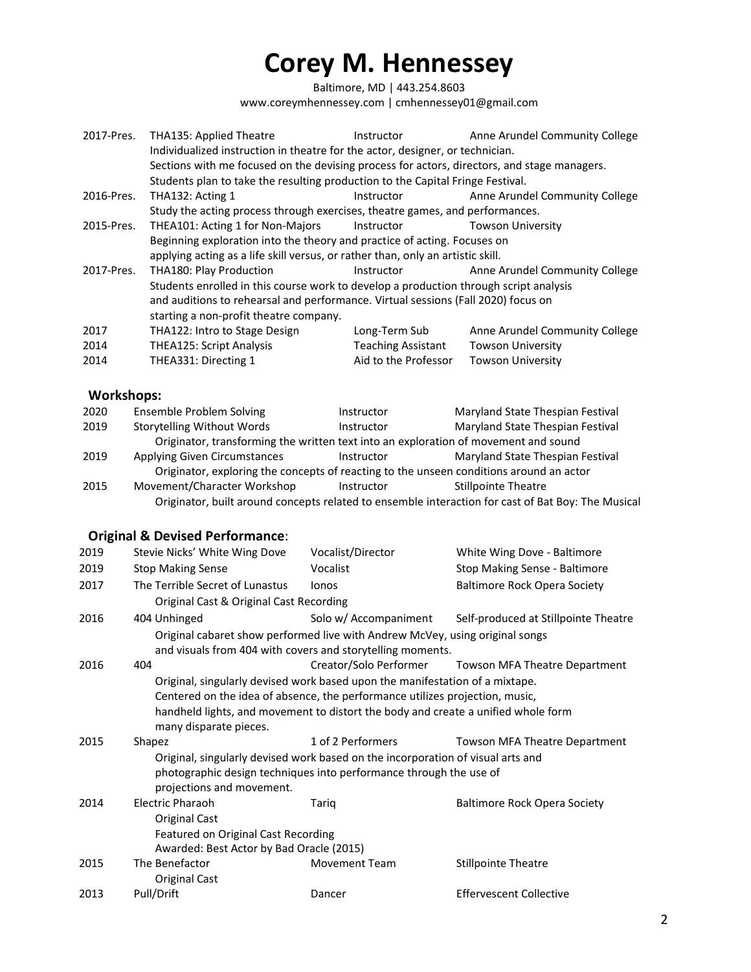Baltimore, MD | 443.254.8603 www.coreymhennessey.com | cmhennessey01@gmail.com

| 2017-Pres.        | THA135: Applied Theatre<br>Individualized instruction in theatre for the actor, designer, or technician.<br>Sections with me focused on the devising process for actors, directors, and stage managers. | Instructor                | Anne Arundel Community College                                                                     |
|-------------------|---------------------------------------------------------------------------------------------------------------------------------------------------------------------------------------------------------|---------------------------|----------------------------------------------------------------------------------------------------|
|                   | Students plan to take the resulting production to the Capital Fringe Festival.                                                                                                                          |                           |                                                                                                    |
| 2016-Pres.        | THA132: Acting 1                                                                                                                                                                                        | Instructor                | Anne Arundel Community College                                                                     |
|                   | Study the acting process through exercises, theatre games, and performances.                                                                                                                            |                           |                                                                                                    |
| 2015-Pres.        | THEA101: Acting 1 for Non-Majors                                                                                                                                                                        | Instructor                | <b>Towson University</b>                                                                           |
|                   | Beginning exploration into the theory and practice of acting. Focuses on                                                                                                                                |                           |                                                                                                    |
|                   | applying acting as a life skill versus, or rather than, only an artistic skill.                                                                                                                         |                           |                                                                                                    |
| 2017-Pres.        | THA180: Play Production                                                                                                                                                                                 | Instructor                | Anne Arundel Community College                                                                     |
|                   | Students enrolled in this course work to develop a production through script analysis                                                                                                                   |                           |                                                                                                    |
|                   | and auditions to rehearsal and performance. Virtual sessions (Fall 2020) focus on                                                                                                                       |                           |                                                                                                    |
|                   | starting a non-profit theatre company.                                                                                                                                                                  |                           |                                                                                                    |
| 2017              | THA122: Intro to Stage Design                                                                                                                                                                           | Long-Term Sub             | Anne Arundel Community College                                                                     |
| 2014              | THEA125: Script Analysis                                                                                                                                                                                | <b>Teaching Assistant</b> | <b>Towson University</b>                                                                           |
| 2014              | THEA331: Directing 1                                                                                                                                                                                    | Aid to the Professor      | <b>Towson University</b>                                                                           |
|                   |                                                                                                                                                                                                         |                           |                                                                                                    |
| <b>Workshops:</b> |                                                                                                                                                                                                         |                           |                                                                                                    |
| 2020              | Ensemble Problem Solving                                                                                                                                                                                | Instructor                | Maryland State Thespian Festival                                                                   |
| 2019              | <b>Storytelling Without Words</b>                                                                                                                                                                       | Instructor                | Maryland State Thespian Festival                                                                   |
|                   | Originator, transforming the written text into an exploration of movement and sound                                                                                                                     |                           |                                                                                                    |
| 2019              | <b>Applying Given Circumstances</b>                                                                                                                                                                     | Instructor                | Maryland State Thespian Festival                                                                   |
|                   | Originator, exploring the concepts of reacting to the unseen conditions around an actor                                                                                                                 |                           |                                                                                                    |
| 2015              | Movement/Character Workshop                                                                                                                                                                             | Instructor                | <b>Stillpointe Theatre</b>                                                                         |
|                   |                                                                                                                                                                                                         |                           | Originator, built around concepts related to ensemble interaction for cast of Bat Boy: The Musical |
|                   |                                                                                                                                                                                                         |                           |                                                                                                    |
|                   | <b>Original &amp; Devised Performance:</b>                                                                                                                                                              |                           |                                                                                                    |
| 2019              | Stevie Nicks' White Wing Dove                                                                                                                                                                           | Vocalist/Director         | White Wing Dove - Baltimore                                                                        |
| 2019              | <b>Stop Making Sense</b>                                                                                                                                                                                | Vocalist                  | Stop Making Sense - Baltimore                                                                      |
| 2017              | The Terrible Secret of Lunastus                                                                                                                                                                         | lonos                     | <b>Baltimore Rock Opera Society</b>                                                                |
|                   | Original Cast & Original Cast Recording                                                                                                                                                                 |                           |                                                                                                    |
|                   |                                                                                                                                                                                                         |                           |                                                                                                    |

2016 404 Unhinged Solo w/ Accompaniment Self-produced at Stillpointe Theatre Original cabaret show performed live with Andrew McVey, using original songs and visuals from 404 with covers and storytelling moments.

| 2016 | 404                                                                             | Creator/Solo Performer                                                            | Towson MFA Theatre Department        |  |  |
|------|---------------------------------------------------------------------------------|-----------------------------------------------------------------------------------|--------------------------------------|--|--|
|      |                                                                                 | Original, singularly devised work based upon the manifestation of a mixtape.      |                                      |  |  |
|      |                                                                                 | Centered on the idea of absence, the performance utilizes projection, music,      |                                      |  |  |
|      |                                                                                 | handheld lights, and movement to distort the body and create a unified whole form |                                      |  |  |
|      | many disparate pieces.                                                          |                                                                                   |                                      |  |  |
| 2015 | Shapez                                                                          | 1 of 2 Performers                                                                 | <b>Towson MFA Theatre Department</b> |  |  |
|      | Original, singularly devised work based on the incorporation of visual arts and |                                                                                   |                                      |  |  |
|      | projections and movement.                                                       | photographic design techniques into performance through the use of                |                                      |  |  |
| 2014 | Electric Pharaoh                                                                | Tarig                                                                             | <b>Baltimore Rock Opera Society</b>  |  |  |
|      | Original Cast                                                                   |                                                                                   |                                      |  |  |
|      | Featured on Original Cast Recording                                             |                                                                                   |                                      |  |  |
|      | Awarded: Best Actor by Bad Oracle (2015)                                        |                                                                                   |                                      |  |  |
| 2015 | The Benefactor                                                                  | <b>Movement Team</b>                                                              | <b>Stillpointe Theatre</b>           |  |  |
|      | Original Cast                                                                   |                                                                                   |                                      |  |  |
| 2013 | Pull/Drift                                                                      | Dancer                                                                            | <b>Effervescent Collective</b>       |  |  |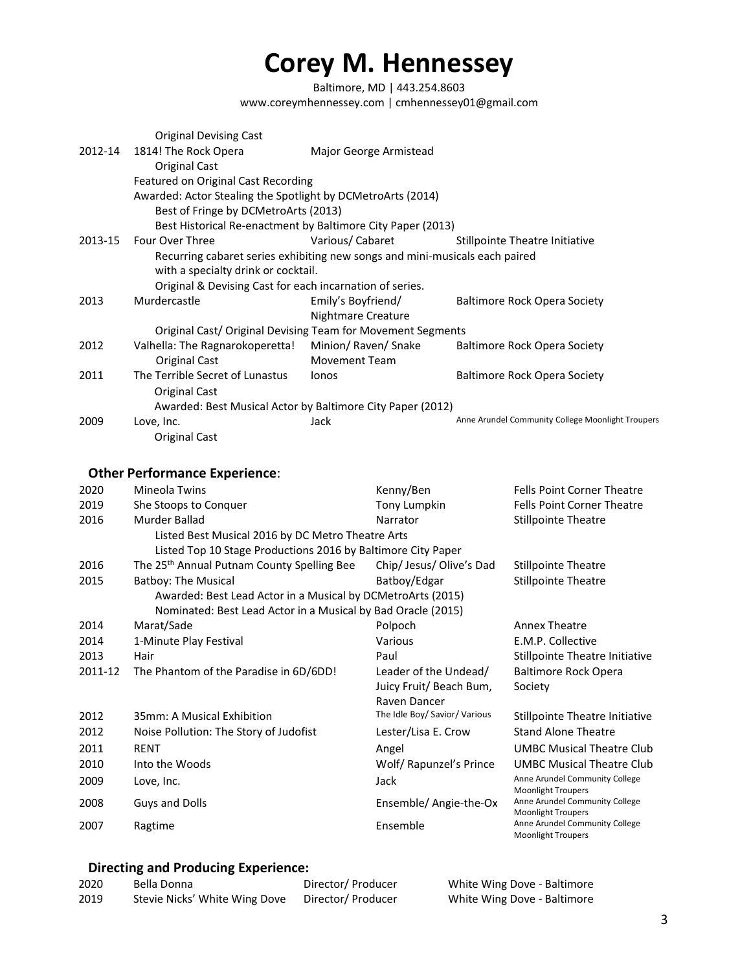Baltimore, MD | 443.254.8603 www.coreymhennessey.com | cmhennessey01@gmail.com

|         | <b>Original Devising Cast</b>                                                                                      |                           |                                                   |
|---------|--------------------------------------------------------------------------------------------------------------------|---------------------------|---------------------------------------------------|
| 2012-14 | 1814! The Rock Opera                                                                                               | Major George Armistead    |                                                   |
|         | Original Cast                                                                                                      |                           |                                                   |
|         | Featured on Original Cast Recording                                                                                |                           |                                                   |
|         | Awarded: Actor Stealing the Spotlight by DCMetroArts (2014)                                                        |                           |                                                   |
|         | Best of Fringe by DCMetroArts (2013)                                                                               |                           |                                                   |
|         | Best Historical Re-enactment by Baltimore City Paper (2013)                                                        |                           |                                                   |
| 2013-15 | Four Over Three                                                                                                    | Various/Cabaret           | Stillpointe Theatre Initiative                    |
|         | Recurring cabaret series exhibiting new songs and mini-musicals each paired<br>with a specialty drink or cocktail. |                           |                                                   |
|         | Original & Devising Cast for each incarnation of series.                                                           |                           |                                                   |
| 2013    | Murdercastle                                                                                                       | Emily's Boyfriend/        | Baltimore Rock Opera Society                      |
|         |                                                                                                                    | <b>Nightmare Creature</b> |                                                   |
|         | Original Cast/ Original Devising Team for Movement Segments                                                        |                           |                                                   |
| 2012    | Valhella: The Ragnarokoperetta!                                                                                    | Minion/ Raven/ Snake      | Baltimore Rock Opera Society                      |
|         | Original Cast                                                                                                      | <b>Movement Team</b>      |                                                   |
| 2011    | The Terrible Secret of Lunastus                                                                                    | lonos                     | <b>Baltimore Rock Opera Society</b>               |
|         | <b>Original Cast</b>                                                                                               |                           |                                                   |
|         | Awarded: Best Musical Actor by Baltimore City Paper (2012)                                                         |                           |                                                   |
| 2009    | Love, Inc.                                                                                                         | Jack                      | Anne Arundel Community College Moonlight Troupers |
|         | Original Cast                                                                                                      |                           |                                                   |
|         |                                                                                                                    |                           |                                                   |
|         |                                                                                                                    |                           |                                                   |

### **Other Performance Experience**:

| 2020    | Mineola Twins                                                | Kenny/Ben                     | <b>Fells Point Corner Theatre</b>                           |
|---------|--------------------------------------------------------------|-------------------------------|-------------------------------------------------------------|
| 2019    | She Stoops to Conquer                                        | Tony Lumpkin                  | <b>Fells Point Corner Theatre</b>                           |
| 2016    | Murder Ballad                                                | Narrator                      | <b>Stillpointe Theatre</b>                                  |
|         | Listed Best Musical 2016 by DC Metro Theatre Arts            |                               |                                                             |
|         | Listed Top 10 Stage Productions 2016 by Baltimore City Paper |                               |                                                             |
| 2016    | The 25 <sup>th</sup> Annual Putnam County Spelling Bee       | Chip/ Jesus/ Olive's Dad      | <b>Stillpointe Theatre</b>                                  |
| 2015    | <b>Batboy: The Musical</b>                                   | Batboy/Edgar                  | <b>Stillpointe Theatre</b>                                  |
|         | Awarded: Best Lead Actor in a Musical by DCMetroArts (2015)  |                               |                                                             |
|         | Nominated: Best Lead Actor in a Musical by Bad Oracle (2015) |                               |                                                             |
| 2014    | Marat/Sade                                                   | Polpoch                       | <b>Annex Theatre</b>                                        |
| 2014    | 1-Minute Play Festival                                       | Various                       | E.M.P. Collective                                           |
| 2013    | Hair                                                         | Paul                          | Stillpointe Theatre Initiative                              |
| 2011-12 | The Phantom of the Paradise in 6D/6DD!                       | Leader of the Undead/         | Baltimore Rock Opera                                        |
|         |                                                              | Juicy Fruit/ Beach Bum,       | Society                                                     |
|         |                                                              | Raven Dancer                  |                                                             |
| 2012    | 35mm: A Musical Exhibition                                   | The Idle Boy/ Savior/ Various | Stillpointe Theatre Initiative                              |
| 2012    | Noise Pollution: The Story of Judofist                       | Lester/Lisa E. Crow           | <b>Stand Alone Theatre</b>                                  |
| 2011    | <b>RENT</b>                                                  | Angel                         | <b>UMBC Musical Theatre Club</b>                            |
| 2010    | Into the Woods                                               | Wolf/ Rapunzel's Prince       | <b>UMBC Musical Theatre Club</b>                            |
| 2009    | Love, Inc.                                                   | Jack                          | Anne Arundel Community College                              |
|         |                                                              |                               | <b>Moonlight Troupers</b>                                   |
| 2008    | Guys and Dolls                                               | Ensemble/ Angie-the-Ox        | Anne Arundel Community College<br><b>Moonlight Troupers</b> |
| 2007    | Ragtime                                                      | Ensemble                      | Anne Arundel Community College<br><b>Moonlight Troupers</b> |

### **Directing and Producing Experience:**

| 2020 | Bella Donna                   | Director/ Producer | White Wing Dove - Baltimore |
|------|-------------------------------|--------------------|-----------------------------|
| 2019 | Stevie Nicks' White Wing Dove | Director/ Producer | White Wing Dove - Baltimore |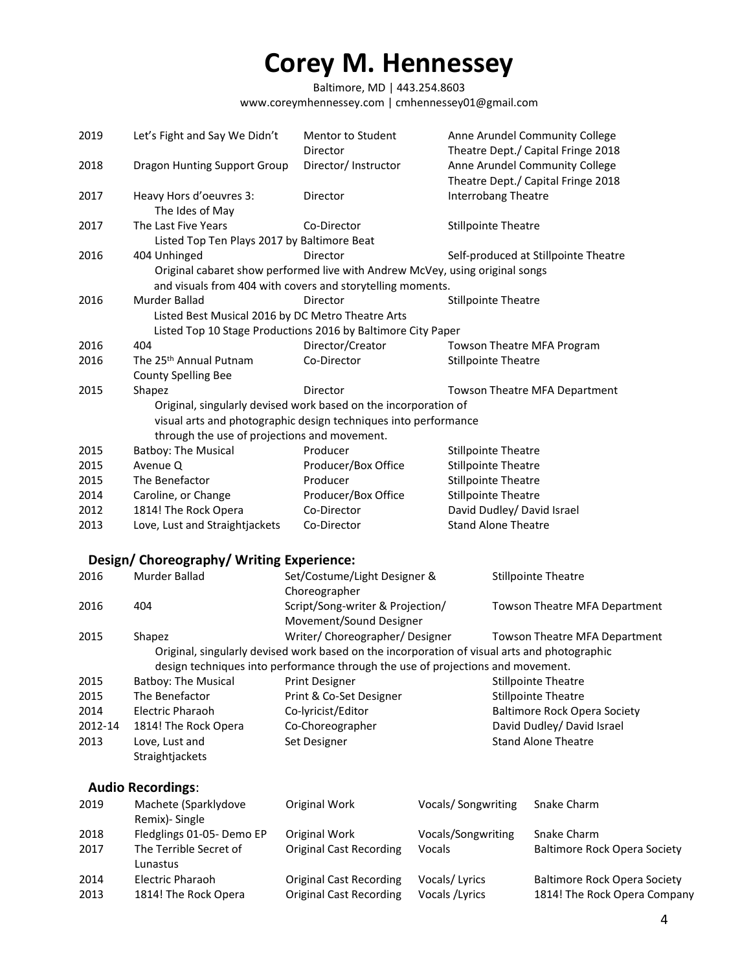Baltimore, MD | 443.254.8603 www.coreymhennessey.com | cmhennessey01@gmail.com

| 2019    | Let's Fight and Say We Didn't                     | Mentor to Student                                               | Anne Arundel Community College                                                               |
|---------|---------------------------------------------------|-----------------------------------------------------------------|----------------------------------------------------------------------------------------------|
|         |                                                   | Director                                                        | Theatre Dept./ Capital Fringe 2018                                                           |
| 2018    | <b>Dragon Hunting Support Group</b>               | Director/ Instructor                                            | Anne Arundel Community College<br>Theatre Dept./ Capital Fringe 2018                         |
| 2017    | Heavy Hors d'oeuvres 3:                           | Director                                                        | <b>Interrobang Theatre</b>                                                                   |
|         | The Ides of May                                   |                                                                 |                                                                                              |
| 2017    | The Last Five Years                               | Co-Director                                                     | <b>Stillpointe Theatre</b>                                                                   |
|         | Listed Top Ten Plays 2017 by Baltimore Beat       |                                                                 |                                                                                              |
| 2016    | 404 Unhinged                                      | Director                                                        | Self-produced at Stillpointe Theatre                                                         |
|         |                                                   |                                                                 | Original cabaret show performed live with Andrew McVey, using original songs                 |
|         |                                                   | and visuals from 404 with covers and storytelling moments.      |                                                                                              |
| 2016    | Murder Ballad                                     | Director                                                        | <b>Stillpointe Theatre</b>                                                                   |
|         |                                                   |                                                                 |                                                                                              |
|         | Listed Best Musical 2016 by DC Metro Theatre Arts |                                                                 |                                                                                              |
|         |                                                   | Listed Top 10 Stage Productions 2016 by Baltimore City Paper    |                                                                                              |
| 2016    | 404                                               | Director/Creator                                                | Towson Theatre MFA Program                                                                   |
| 2016    | The 25 <sup>th</sup> Annual Putnam                | Co-Director                                                     | <b>Stillpointe Theatre</b>                                                                   |
|         | <b>County Spelling Bee</b>                        |                                                                 |                                                                                              |
| 2015    | Shapez                                            | Director                                                        | Towson Theatre MFA Department                                                                |
|         |                                                   | Original, singularly devised work based on the incorporation of |                                                                                              |
|         |                                                   | visual arts and photographic design techniques into performance |                                                                                              |
|         | through the use of projections and movement.      |                                                                 |                                                                                              |
| 2015    | <b>Batboy: The Musical</b>                        | Producer                                                        | <b>Stillpointe Theatre</b>                                                                   |
| 2015    | Avenue Q                                          | Producer/Box Office                                             | <b>Stillpointe Theatre</b>                                                                   |
| 2015    | The Benefactor                                    | Producer                                                        | <b>Stillpointe Theatre</b>                                                                   |
| 2014    | Caroline, or Change                               | Producer/Box Office                                             | <b>Stillpointe Theatre</b>                                                                   |
| 2012    | 1814! The Rock Opera                              | Co-Director                                                     | David Dudley/ David Israel                                                                   |
| 2013    | Love, Lust and Straightjackets                    | Co-Director                                                     | <b>Stand Alone Theatre</b>                                                                   |
|         | Design/Choreography/Writing Experience:           |                                                                 |                                                                                              |
| 2016    | Murder Ballad                                     | Set/Costume/Light Designer &                                    | <b>Stillpointe Theatre</b>                                                                   |
|         |                                                   | Choreographer                                                   |                                                                                              |
| 2016    | 404                                               | Script/Song-writer & Projection/                                | Towson Theatre MFA Department                                                                |
|         |                                                   | Movement/Sound Designer                                         |                                                                                              |
| 2015    | Shapez                                            | Writer/Choreographer/Designer                                   | Towson Theatre MFA Department                                                                |
|         |                                                   |                                                                 | Original, singularly devised work based on the incorporation of visual arts and photographic |
|         |                                                   |                                                                 |                                                                                              |
|         |                                                   |                                                                 | design techniques into performance through the use of projections and movement.              |
| 2015    | <b>Batboy: The Musical</b>                        | <b>Print Designer</b>                                           | <b>Stillpointe Theatre</b>                                                                   |
| 2015    | The Benefactor                                    | Print & Co-Set Designer                                         | <b>Stillpointe Theatre</b>                                                                   |
| 2014    | <b>Electric Pharaoh</b>                           | Co-lyricist/Editor                                              | <b>Baltimore Rock Opera Society</b>                                                          |
| 2012-14 | 1814! The Rock Opera                              | Co-Choreographer                                                | David Dudley/ David Israel                                                                   |
| 2013    | Love, Lust and                                    | Set Designer                                                    | <b>Stand Alone Theatre</b>                                                                   |
|         | Straightjackets                                   |                                                                 |                                                                                              |
|         |                                                   |                                                                 |                                                                                              |
|         | <b>Audio Recordings:</b>                          |                                                                 |                                                                                              |
| 2019    | Machete (Sparklydove                              | Original Work                                                   | Vocals/Songwriting<br>Snake Charm                                                            |

| ---- |                           | 5.15111411110111               | $\frac{1}{2}$      |                                     |
|------|---------------------------|--------------------------------|--------------------|-------------------------------------|
|      | Remix) - Single           |                                |                    |                                     |
| 2018 | Fledglings 01-05- Demo EP | Original Work                  | Vocals/Songwriting | Snake Charm                         |
| 2017 | The Terrible Secret of    | <b>Original Cast Recording</b> | Vocals             | <b>Baltimore Rock Opera Society</b> |
|      | Lunastus                  |                                |                    |                                     |
| 2014 | Electric Pharaoh          | Original Cast Recording        | Vocals/Lyrics      | <b>Baltimore Rock Opera Society</b> |
| 2013 | 1814! The Rock Opera      | Original Cast Recording        | Vocals / Lyrics    | 1814! The Rock Opera Company        |
|      |                           |                                |                    |                                     |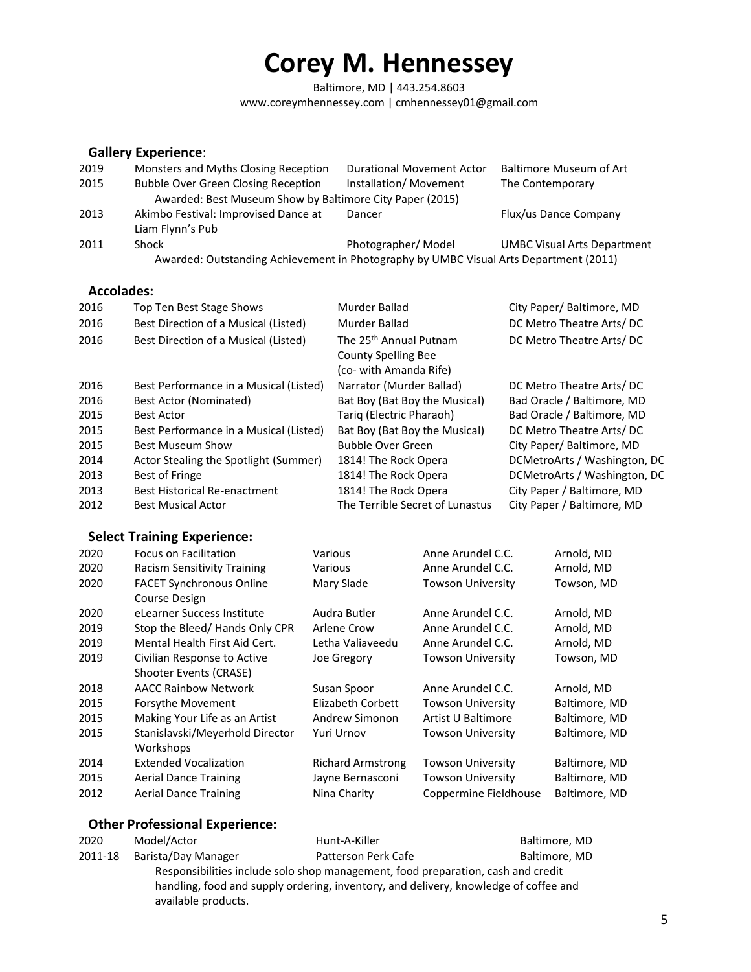Baltimore, MD | 443.254.8603 www.coreymhennessey.com | cmhennessey01@gmail.com

#### **Gallery Experience**:

| 2019 | Monsters and Myths Closing Reception                                                  | <b>Durational Movement Actor</b> | <b>Baltimore Museum of Art</b>     |
|------|---------------------------------------------------------------------------------------|----------------------------------|------------------------------------|
| 2015 | <b>Bubble Over Green Closing Reception</b>                                            | Installation/Movement            | The Contemporary                   |
|      | Awarded: Best Museum Show by Baltimore City Paper (2015)                              |                                  |                                    |
| 2013 | Akimbo Festival: Improvised Dance at                                                  | Dancer                           | Flux/us Dance Company              |
|      | Liam Flynn's Pub                                                                      |                                  |                                    |
| 2011 | Shock                                                                                 | Photographer/Model               | <b>UMBC Visual Arts Department</b> |
|      | Awarded: Outstanding Achievement in Photography by UMBC Visual Arts Department (2011) |                                  |                                    |

#### **Accolades:**

| 2016 | Top Ten Best Stage Shows               | Murder Ballad                                                                              | City Paper/Baltimore, MD     |
|------|----------------------------------------|--------------------------------------------------------------------------------------------|------------------------------|
|      |                                        |                                                                                            |                              |
| 2016 | Best Direction of a Musical (Listed)   | Murder Ballad                                                                              | DC Metro Theatre Arts/DC     |
| 2016 | Best Direction of a Musical (Listed)   | The 25 <sup>th</sup> Annual Putnam<br><b>County Spelling Bee</b><br>(co- with Amanda Rife) | DC Metro Theatre Arts/DC     |
| 2016 | Best Performance in a Musical (Listed) | Narrator (Murder Ballad)                                                                   | DC Metro Theatre Arts/DC     |
| 2016 | Best Actor (Nominated)                 | Bat Boy (Bat Boy the Musical)                                                              | Bad Oracle / Baltimore, MD   |
| 2015 | <b>Best Actor</b>                      | Tarig (Electric Pharaoh)                                                                   | Bad Oracle / Baltimore, MD   |
| 2015 | Best Performance in a Musical (Listed) | Bat Boy (Bat Boy the Musical)                                                              | DC Metro Theatre Arts/DC     |
| 2015 | <b>Best Museum Show</b>                | <b>Bubble Over Green</b>                                                                   | City Paper/Baltimore, MD     |
| 2014 | Actor Stealing the Spotlight (Summer)  | 1814! The Rock Opera                                                                       | DCMetroArts / Washington, DC |
| 2013 | Best of Fringe                         | 1814! The Rock Opera                                                                       | DCMetroArts / Washington, DC |
| 2013 | <b>Best Historical Re-enactment</b>    | 1814! The Rock Opera                                                                       | City Paper / Baltimore, MD   |
| 2012 | <b>Best Musical Actor</b>              | The Terrible Secret of Lunastus                                                            | City Paper / Baltimore, MD   |
|      |                                        |                                                                                            |                              |

### **Select Training Experience:**

| 2020 | <b>Focus on Facilitation</b>                     | Various                  | Anne Arundel C.C.        | Arnold, MD    |
|------|--------------------------------------------------|--------------------------|--------------------------|---------------|
| 2020 | <b>Racism Sensitivity Training</b>               | Various                  | Anne Arundel C.C.        | Arnold, MD    |
| 2020 | <b>FACET Synchronous Online</b><br>Course Design | Mary Slade               | <b>Towson University</b> | Towson, MD    |
| 2020 | eLearner Success Institute                       | Audra Butler             | Anne Arundel C.C.        | Arnold, MD    |
| 2019 | Stop the Bleed/Hands Only CPR                    | Arlene Crow              | Anne Arundel C.C.        | Arnold, MD    |
| 2019 | Mental Health First Aid Cert.                    | Letha Valiaveedu         | Anne Arundel C.C.        | Arnold, MD    |
| 2019 | Civilian Response to Active                      | Joe Gregory              | <b>Towson University</b> | Towson, MD    |
|      | Shooter Events (CRASE)                           |                          |                          |               |
| 2018 | <b>AACC Rainbow Network</b>                      | Susan Spoor              | Anne Arundel C.C.        | Arnold, MD    |
| 2015 | Forsythe Movement                                | Elizabeth Corbett        | <b>Towson University</b> | Baltimore, MD |
| 2015 | Making Your Life as an Artist                    | Andrew Simonon           | Artist U Baltimore       | Baltimore, MD |
| 2015 | Stanislavski/Meyerhold Director<br>Workshops     | Yuri Urnov               | <b>Towson University</b> | Baltimore, MD |
| 2014 | <b>Extended Vocalization</b>                     | <b>Richard Armstrong</b> | <b>Towson University</b> | Baltimore, MD |
| 2015 | <b>Aerial Dance Training</b>                     | Jayne Bernasconi         | <b>Towson University</b> | Baltimore, MD |
| 2012 | <b>Aerial Dance Training</b>                     | Nina Charity             | Coppermine Fieldhouse    | Baltimore, MD |

#### **Other Professional Experience:**

| 2020    | Model/Actor                                                                          | Hunt-A-Killer       | Baltimore, MD |  |  |
|---------|--------------------------------------------------------------------------------------|---------------------|---------------|--|--|
| 2011-18 | Barista/Day Manager                                                                  | Patterson Perk Cafe | Baltimore, MD |  |  |
|         | Responsibilities include solo shop management, food preparation, cash and credit     |                     |               |  |  |
|         | handling, food and supply ordering, inventory, and delivery, knowledge of coffee and |                     |               |  |  |
|         | available products.                                                                  |                     |               |  |  |